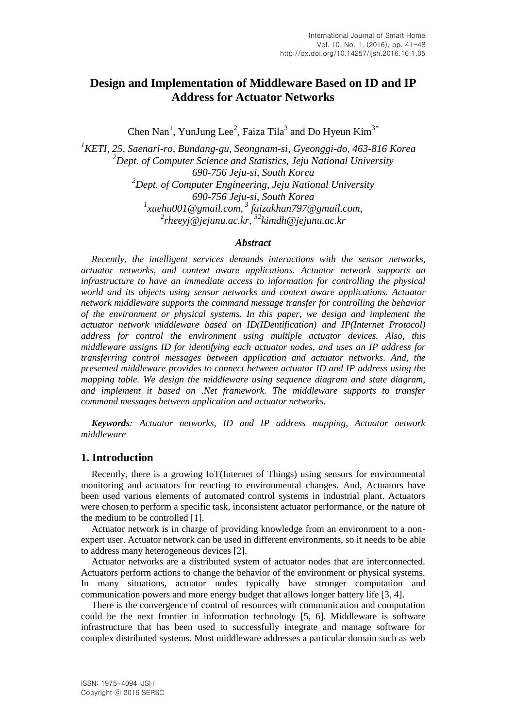# **Design and Implementation of Middleware Based on ID and IP Address for Actuator Networks**

Chen Nan<sup>1</sup>, YunJung Lee<sup>2</sup>, Faiza Tila<sup>3</sup> and Do Hyeun Kim<sup>3\*</sup>

*KETI, 25, Saenari-ro, Bundang-gu, Seongnam-si, Gyeonggi-do, 463-816 Korea Dept. of Computer Science and Statistics, Jeju National University 690-756 Jeju-si, South Korea Dept. of Computer Engineering, Jeju National University 690-756 Jeju-si, South Korea xuehu001@gmail.com, <sup>3</sup> faizakhan797@gmail.com, 2 rheeyj@jejunu.ac.kr, <sup>32</sup>kimdh@jejunu.ac.kr*

#### *Abstract*

*Recently, the intelligent services demands interactions with the sensor networks, actuator networks, and context aware applications. Actuator network supports an infrastructure to have an immediate access to information for controlling the physical world and its objects using sensor networks and context aware applications. Actuator network middleware supports the command message transfer for controlling the behavior of the environment or physical systems. In this paper, we design and implement the actuator network middleware based on ID(IDentification) and IP(Internet Protocol) address for control the environment using multiple actuator devices. Also, this middleware assigns ID for identifying each actuator nodes, and uses an IP address for transferring control messages between application and actuator networks. And, the presented middleware provides to connect between actuator ID and IP address using the mapping table. We design the middleware using sequence diagram and state diagram, and implement it based on .Net framework. The middleware supports to transfer command messages between application and actuator networks.*

*Keywords: Actuator networks, ID and IP address mapping, Actuator network middleware*

#### **1. Introduction**

Recently, there is a growing IoT(Internet of Things) using sensors for environmental monitoring and actuators for reacting to environmental changes. And, Actuators have been used various elements of automated control systems in industrial plant. Actuators were chosen to perform a specific task, inconsistent actuator performance, or the nature of the medium to be controlled [1].

Actuator network is in charge of providing knowledge from an environment to a nonexpert user. Actuator network can be used in different environments, so it needs to be able to address many heterogeneous devices [2].

Actuator networks are a distributed system of actuator nodes that are interconnected. Actuators perform actions to change the behavior of the environment or physical systems. In many situations, actuator nodes typically have stronger computation and communication powers and more energy budget that allows longer battery life [3, 4].

There is the convergence of control of resources with communication and computation could be the next frontier in information technology [5, 6]. Middleware is software infrastructure that has been used to successfully integrate and manage software for complex distributed systems. Most middleware addresses a particular domain such as web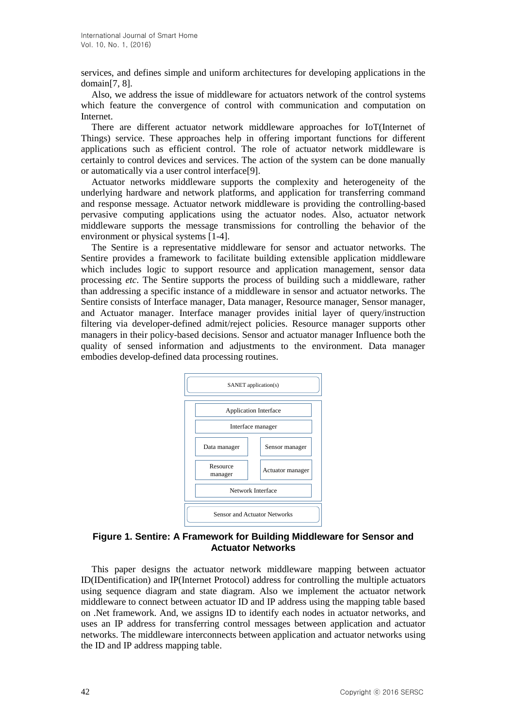services, and defines simple and uniform architectures for developing applications in the domain[7, 8].

Also, we address the issue of middleware for actuators network of the control systems which feature the convergence of control with communication and computation on Internet.

There are different actuator network middleware approaches for IoT(Internet of Things) service. These approaches help in offering important functions for different applications such as efficient control. The role of actuator network middleware is certainly to control devices and services. The action of the system can be done manually or automatically via a user control interface[9].

Actuator networks middleware supports the complexity and heterogeneity of the underlying hardware and network platforms, and application for transferring command and response message. Actuator network middleware is providing the controlling-based pervasive computing applications using the actuator nodes. Also, actuator network middleware supports the message transmissions for controlling the behavior of the environment or physical systems [1-4].

The Sentire is a representative middleware for sensor and actuator networks. The Sentire provides a framework to facilitate building extensible application middleware which includes logic to support resource and application management, sensor data processing *etc*. The Sentire supports the process of building such a middleware, rather than addressing a specific instance of a middleware in sensor and actuator networks. The Sentire consists of Interface manager, Data manager, Resource manager, Sensor manager, and Actuator manager. Interface manager provides initial layer of query/instruction filtering via developer-defined admit/reject policies. Resource manager supports other managers in their policy-based decisions. Sensor and actuator manager Influence both the quality of sensed information and adjustments to the environment. Data manager embodies develop-defined data processing routines.



#### **Figure 1. Sentire: A Framework for Building Middleware for Sensor and Actuator Networks**

This paper designs the actuator network middleware mapping between actuator ID(IDentification) and IP(Internet Protocol) address for controlling the multiple actuators using sequence diagram and state diagram. Also we implement the actuator network middleware to connect between actuator ID and IP address using the mapping table based on .Net framework. And, we assigns ID to identify each nodes in actuator networks, and uses an IP address for transferring control messages between application and actuator networks. The middleware interconnects between application and actuator networks using the ID and IP address mapping table.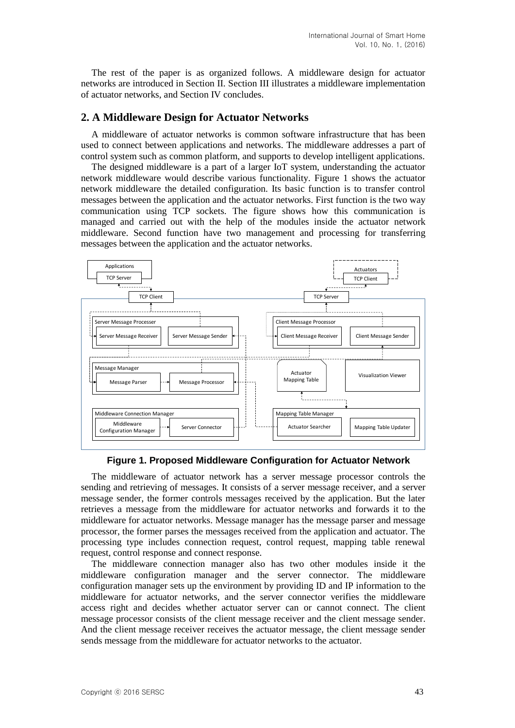The rest of the paper is as organized follows. A middleware design for actuator networks are introduced in Section II. Section III illustrates a middleware implementation of actuator networks, and Section IV concludes.

### **2. A Middleware Design for Actuator Networks**

A middleware of actuator networks is common software infrastructure that has been used to connect between applications and networks. The middleware addresses a part of control system such as common platform, and supports to develop intelligent applications.

The designed middleware is a part of a larger IoT system, understanding the actuator network middleware would describe various functionality. Figure 1 shows the actuator network middleware the detailed configuration. Its basic function is to transfer control messages between the application and the actuator networks. First function is the two way communication using TCP sockets. The figure shows how this communication is managed and carried out with the help of the modules inside the actuator network middleware. Second function have two management and processing for transferring messages between the application and the actuator networks.



**Figure 1. Proposed Middleware Configuration for Actuator Network**

The middleware of actuator network has a server message processor controls the sending and retrieving of messages. It consists of a server message receiver, and a server message sender, the former controls messages received by the application. But the later retrieves a message from the middleware for actuator networks and forwards it to the middleware for actuator networks. Message manager has the message parser and message processor, the former parses the messages received from the application and actuator. The processing type includes connection request, control request, mapping table renewal request, control response and connect response.

The middleware connection manager also has two other modules inside it the middleware configuration manager and the server connector. The middleware configuration manager sets up the environment by providing ID and IP information to the middleware for actuator networks, and the server connector verifies the middleware access right and decides whether actuator server can or cannot connect. The client message processor consists of the client message receiver and the client message sender. And the client message receiver receives the actuator message, the client message sender sends message from the middleware for actuator networks to the actuator.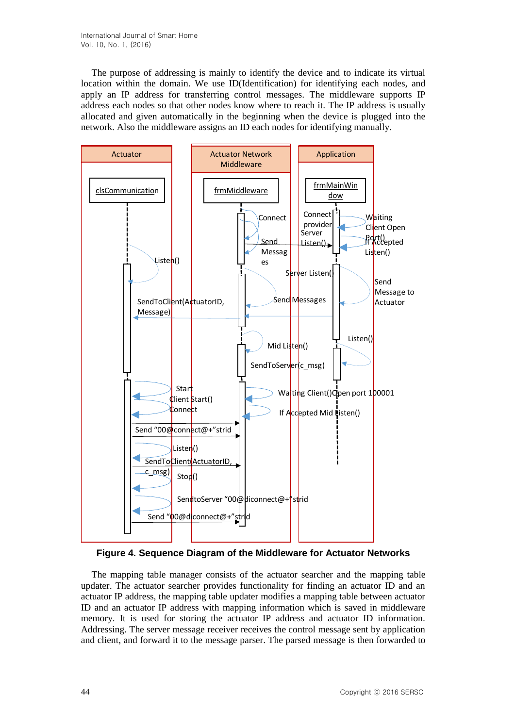The purpose of addressing is mainly to identify the device and to indicate its virtual location within the domain. We use ID(Identification) for identifying each nodes, and apply an IP address for transferring control messages. The middleware supports IP address each nodes so that other nodes know where to reach it. The IP address is usually allocated and given automatically in the beginning when the device is plugged into the network. Also the middleware assigns an ID each nodes for identifying manually.





The mapping table manager consists of the actuator searcher and the mapping table updater. The actuator searcher provides functionality for finding an actuator ID and an actuator IP address, the mapping table updater modifies a mapping table between actuator ID and an actuator IP address with mapping information which is saved in middleware memory. It is used for storing the actuator IP address and actuator ID information. Addressing. The server message receiver receives the control message sent by application and client, and forward it to the message parser. The parsed message is then forwarded to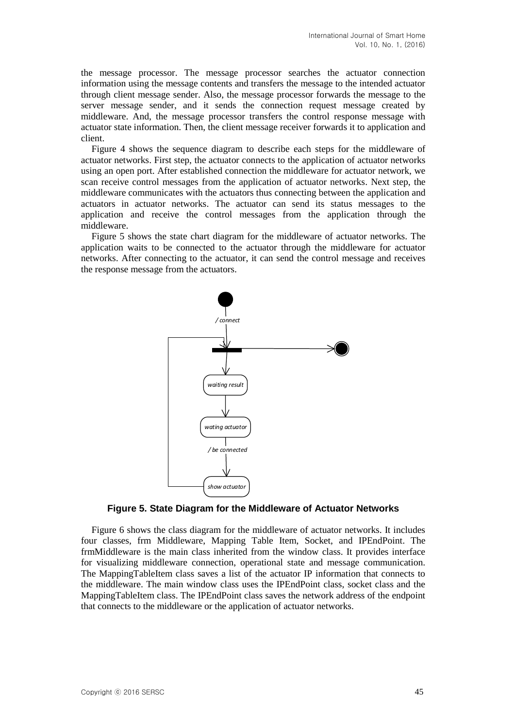the message processor. The message processor searches the actuator connection information using the message contents and transfers the message to the intended actuator through client message sender. Also, the message processor forwards the message to the server message sender, and it sends the connection request message created by middleware. And, the message processor transfers the control response message with actuator state information. Then, the client message receiver forwards it to application and client.

Figure 4 shows the sequence diagram to describe each steps for the middleware of actuator networks. First step, the actuator connects to the application of actuator networks using an open port. After established connection the middleware for actuator network, we scan receive control messages from the application of actuator networks. Next step, the middleware communicates with the actuators thus connecting between the application and actuators in actuator networks. The actuator can send its status messages to the application and receive the control messages from the application through the middleware.

Figure 5 shows the state chart diagram for the middleware of actuator networks. The application waits to be connected to the actuator through the middleware for actuator networks. After connecting to the actuator, it can send the control message and receives the response message from the actuators.



**Figure 5. State Diagram for the Middleware of Actuator Networks**

Figure 6 shows the class diagram for the middleware of actuator networks. It includes four classes, frm Middleware, Mapping Table Item, Socket, and IPEndPoint. The frmMiddleware is the main class inherited from the window class. It provides interface for visualizing middleware connection, operational state and message communication. The MappingTableItem class saves a list of the actuator IP information that connects to the middleware. The main window class uses the IPEndPoint class, socket class and the MappingTableItem class. The IPEndPoint class saves the network address of the endpoint that connects to the middleware or the application of actuator networks.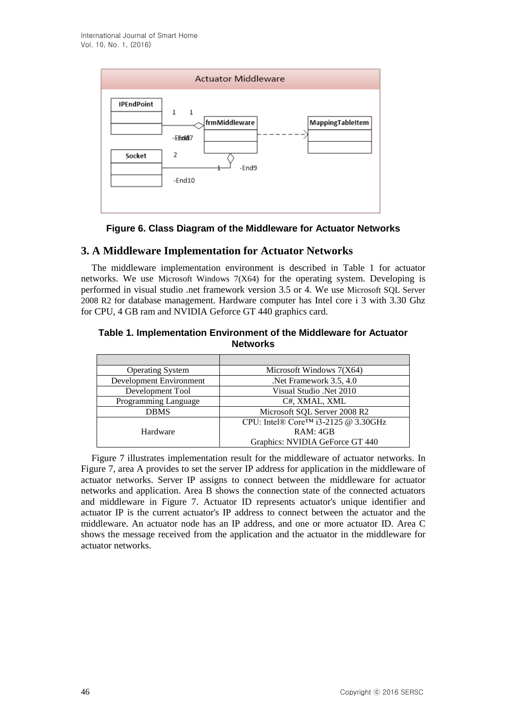

**Figure 6. Class Diagram of the Middleware for Actuator Networks**

# **3. A Middleware Implementation for Actuator Networks**

The middleware implementation environment is described in Table 1 for actuator networks. We use Microsoft Windows 7(X64) for the operating system. Developing is performed in visual studio .net framework version 3.5 or 4. We use Microsoft SQL Server 2008 R2 for database management. Hardware computer has Intel core i 3 with 3.30 Ghz for CPU, 4 GB ram and NVIDIA Geforce GT 440 graphics card.

#### **Table 1. Implementation Environment of the Middleware for Actuator Networks**

| <b>Operating System</b> | Microsoft Windows $7(X64)$                       |
|-------------------------|--------------------------------------------------|
| Development Environment | Net Framework 3.5, 4.0                           |
| Development Tool        | Visual Studio .Net 2010                          |
| Programming Language    | C#, XMAL, XML                                    |
| <b>DBMS</b>             | Microsoft SQL Server 2008 R2                     |
|                         | CPU: Intel® Core <sup>TM</sup> i3-2125 @ 3.30GHz |
| Hardware                | RAM: 4GB                                         |
|                         | Graphics: NVIDIA GeForce GT 440                  |

Figure 7 illustrates implementation result for the middleware of actuator networks. In Figure 7, area A provides to set the server IP address for application in the middleware of actuator networks. Server IP assigns to connect between the middleware for actuator networks and application. Area B shows the connection state of the connected actuators and middleware in Figure 7. Actuator ID represents actuator's unique identifier and actuator IP is the current actuator's IP address to connect between the actuator and the middleware. An actuator node has an IP address, and one or more actuator ID. Area C shows the message received from the application and the actuator in the middleware for actuator networks.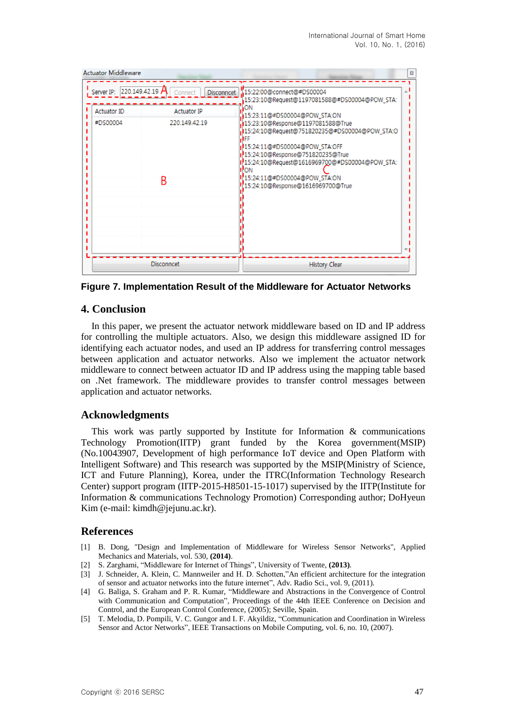| <b>Actuator Middleware</b><br>$\boldsymbol{\mathbb{Z}}$ |                                                                                                       |                                                                                                                                                                                                                                                                                                                                                                                                           |
|---------------------------------------------------------|-------------------------------------------------------------------------------------------------------|-----------------------------------------------------------------------------------------------------------------------------------------------------------------------------------------------------------------------------------------------------------------------------------------------------------------------------------------------------------------------------------------------------------|
| <b>Actuator ID</b><br>#DS00004                          | Server IP: $220.149.42.19$ A Connect<br><b>Disconncet</b><br><b>Actuator IP</b><br>220.149.42.19<br>B | :15:22:00@connect@#DS00004<br>15:23:10@Request@1197081588@#DS00004@POW_STA:<br>ON<br>15:23:11@#DS00004@POW_STA:ON<br>15:23:10@Response@1197081588@True<br>15:24:10@Request@751820235@#DS00004@POW_STA:O<br>15:24:11@#DS00004@POW_STA:OFF<br>15:24:10@Response@751820235@True<br>15:24:10@Request@1616969700@#DS00004@POW_STA:<br>ON<br>[15:24:11@#DS00004@POW_STA:ON<br>15:24:10@Response@1616969700@True |
|                                                         | <b>Disconncet</b>                                                                                     | <b>History Clear</b>                                                                                                                                                                                                                                                                                                                                                                                      |

**Figure 7. Implementation Result of the Middleware for Actuator Networks**

# **4. Conclusion**

In this paper, we present the actuator network middleware based on ID and IP address for controlling the multiple actuators. Also, we design this middleware assigned ID for identifying each actuator nodes, and used an IP address for transferring control messages between application and actuator networks. Also we implement the actuator network middleware to connect between actuator ID and IP address using the mapping table based on .Net framework. The middleware provides to transfer control messages between application and actuator networks.

# **Acknowledgments**

This work was partly supported by Institute for Information  $\&$  communications Technology Promotion(IITP) grant funded by the Korea government(MSIP) (No.10043907, Development of high performance IoT device and Open Platform with Intelligent Software) and This research was supported by the MSIP(Ministry of Science, ICT and Future Planning), Korea, under the ITRC(Information Technology Research Center) support program (IITP-2015-H8501-15-1017) supervised by the IITP(Institute for Information & communications Technology Promotion) Corresponding author; DoHyeun Kim (e-mail: kimdh@jejunu.ac.kr).

# **References**

- [1] B. Dong, "Design and Implementation of Middleware for Wireless Sensor Networks", Applied Mechanics and Materials, vol. 530, **(2014)**.
- [2] S. Zarghami, "Middleware for Internet of Things", University of Twente, **(2013)**.
- [3] J. Schneider, A. Klein, C. Mannweiler and H. D. Schotten,"An efficient architecture for the integration of sensor and actuator networks into the future internet", Adv. Radio Sci., vol. 9, (2011).
- [4] G. Baliga, S. Graham and P. R. Kumar, "Middleware and Abstractions in the Convergence of Control with Communication and Computation", Proceedings of the 44th IEEE Conference on Decision and Control, and the European Control Conference, (2005); Seville, Spain.
- [5] T. Melodia, D. Pompili, V. C. Gungor and I. F. Akyildiz, "Communication and Coordination in Wireless Sensor and Actor Networks", IEEE Transactions on Mobile Computing, vol. 6, no. 10, (2007).